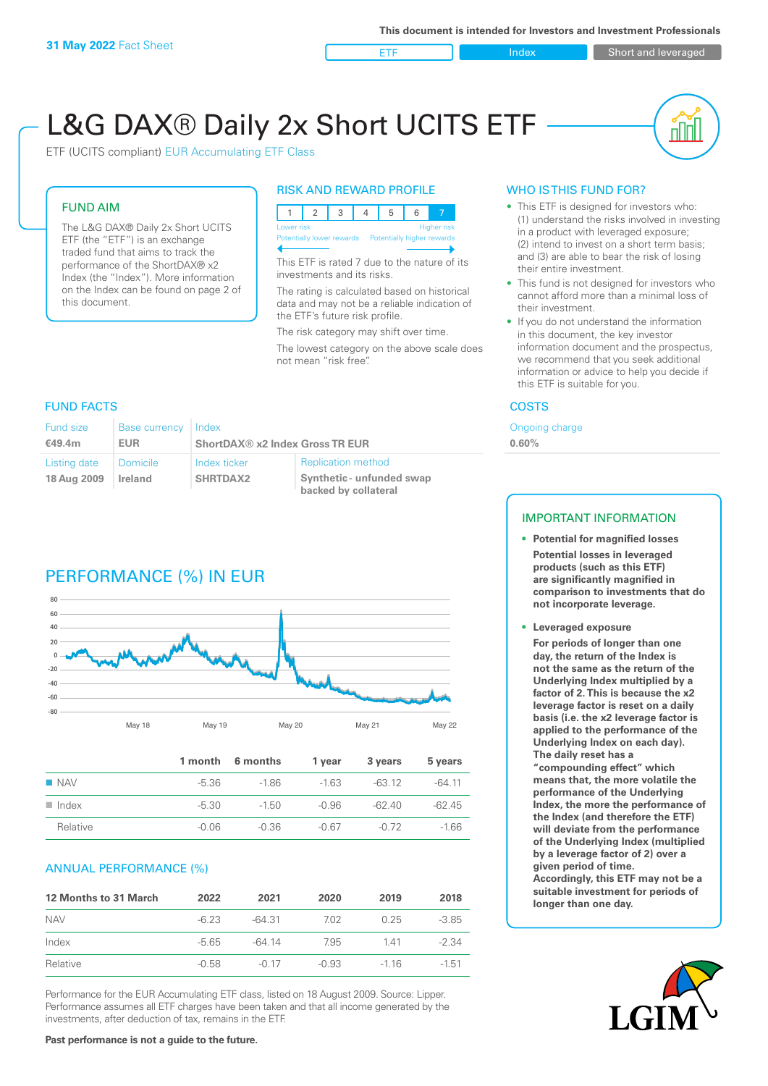**ETF** Index Short and leveraged

nn

# L&G DAX® Daily 2x Short UCITS ETF

ETF (UCITS compliant) EUR Accumulating ETF Class

#### FUND AIM

The L&G DAX® Daily 2x Short UCITS ETF (the "ETF") is an exchange traded fund that aims to track the performance of the ShortDAX® x2 Index (the "Index"). More information on the Index can be found on page 2 of this document.

#### RISK AND REWARD PROFILE



This ETF is rated 7 due to the nature of its investments and its risks.

The rating is calculated based on historical data and may not be a reliable indication of the ETF's future risk profile.

The risk category may shift over time. The lowest category on the above scale does not mean "risk free".

#### **FUND FACTS** COSTS

| Fund size    | Base currency   Index |                                 |                                                   |  |
|--------------|-----------------------|---------------------------------|---------------------------------------------------|--|
| €49.4m       | <b>EUR</b>            | ShortDAX® x2 Index Gross TR EUR |                                                   |  |
| Listing date | Domicile              | Index ticker                    | <b>Replication method</b>                         |  |
| 18 Aug 2009  | Ireland               | <b>SHRTDAX2</b>                 | Synthetic - unfunded swap<br>backed by collateral |  |

## PERFORMANCE (%) IN EUR



|                      |         | 1 month 6 months | 1 year  | 3 years  | 5 years  |
|----------------------|---------|------------------|---------|----------|----------|
| $\blacksquare$ NAV   | -5.36   | $-1.86$          | $-163$  | $-63.12$ | $-64$ 11 |
| $\blacksquare$ Index | -5.30   | $-1.50$          | $-0.96$ | -62.40   | $-62.45$ |
| Relative             | $-0.06$ | -0.36            | $-0.67$ | -0.72    | $-1.66$  |

#### ANNUAL PERFORMANCE (%)

| 12 Months to 31 March | 2022    | 2021    | 2020    | 2019   | 2018    |
|-----------------------|---------|---------|---------|--------|---------|
| <b>NAV</b>            | $-6.23$ | -64.31  | 7.02    | 0.25   | $-3.85$ |
| Index                 | -5.65   | -64 14  | 795     | 141    | $-2.34$ |
| Relative              | $-0.58$ | $-0.17$ | $-0.93$ | $-116$ | $-1.51$ |

Performance for the EUR Accumulating ETF class, listed on 18 August 2009. Source: Lipper. Performance assumes all ETF charges have been taken and that all income generated by the investments, after deduction of tax, remains in the ETF.

#### WHO IS THIS FUND FOR?

- This ETF is designed for investors who: (1) understand the risks involved in investing in a product with leveraged exposure; (2) intend to invest on a short term basis; and (3) are able to bear the risk of losing their entire investment.
- This fund is not designed for investors who cannot afford more than a minimal loss of their investment.
- If you do not understand the information in this document, the key investor information document and the prospectus, we recommend that you seek additional information or advice to help you decide if this ETF is suitable for you.

Ongoing charge **0.60%**

#### IMPORTANT INFORMATION

- **• Potential for magnified losses Potential losses in leveraged products (such as this ETF) are significantly magnified in comparison to investments that do not incorporate leverage.**
- **• Leveraged exposure For periods of longer than one day, the return of the Index is not the same as the return of the Underlying Index multiplied by a factor of 2. This is because the x2 leverage factor is reset on a daily basis (i.e. the x2 leverage factor is applied to the performance of the Underlying Index on each day). The daily reset has a "compounding effect" which means that, the more volatile the performance of the Underlying Index, the more the performance of the Index (and therefore the ETF) will deviate from the performance of the Underlying Index (multiplied by a leverage factor of 2) over a given period of time. Accordingly, this ETF may not be a suitable investment for periods of**

**longer than one day.**



#### **Past performance is not a guide to the future.**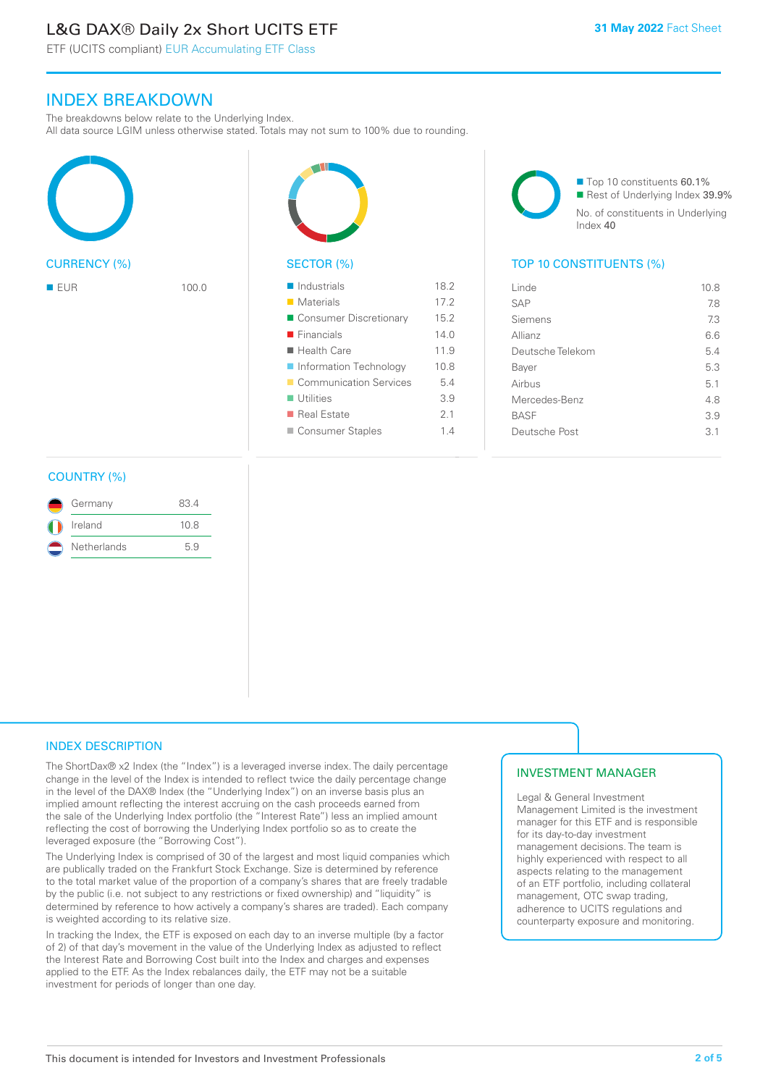# L&G DAX® Daily 2x Short UCITS ETF

ETF (UCITS compliant) EUR Accumulating ETF Class

### INDEX BREAKDOWN

The breakdowns below relate to the Underlying Index.

All data source LGIM unless otherwise stated. Totals may not sum to 100% due to rounding.





| $\blacksquare$ Industrials | 18.2 |
|----------------------------|------|
| $\blacksquare$ Materials   | 17.2 |
| ■ Consumer Discretionary   | 15.2 |
| $\blacksquare$ Financials  | 14.0 |
| $\blacksquare$ Health Care | 11.9 |
| Information Technology     | 10.8 |
| Communication Services     | 5.4  |
| $\blacksquare$ Utilities   | 3.9  |
| ■ Real Estate              | 2.1  |
| Consumer Staples           | 1.4  |

Index 40

■ Top 10 constituents 60.1% Rest of Underlying Index 39.9% No. of constituents in Underlying

#### SECTOR (%) TOP 10 CONSTITUENTS (%)

| <b>■ EUR</b> | 100.0 | $\blacksquare$ Industrials | 18.2 | Linde            | 10.8 |
|--------------|-------|----------------------------|------|------------------|------|
|              |       | ■ Materials                | 17.2 | <b>SAP</b>       | 7.8  |
|              |       | Consumer Discretionary     | 15.2 | Siemens          | 7.3  |
|              |       | $\blacksquare$ Financials  | 14.0 | Allianz          | 6.6  |
|              |       | $\blacksquare$ Health Care | 11.9 | Deutsche Telekom | 5.4  |
|              |       | Information Technology     | 10.8 | Bayer            | 5.3  |
|              |       | Communication Services     | 5.4  | Airbus           | 5.1  |
|              |       | $\blacksquare$ Utilities   | 3.9  | Mercedes-Benz    | 4.8  |
|              |       | ■ Real Estate              | 2.1  | <b>BASF</b>      | 3.9  |
|              |       | Consumer Staples           | 1.4  | Deutsche Post    | 3.1  |
|              |       |                            |      |                  |      |

#### COUNTRY (%)

| Germany     | 834  |  |
|-------------|------|--|
| Ireland     | 10.8 |  |
| Netherlands | 59   |  |

#### INDEX DESCRIPTION

The ShortDax® x2 Index (the "Index") is a leveraged inverse index. The daily percentage change in the level of the Index is intended to reflect twice the daily percentage change in the level of the DAX® Index (the "Underlying Index") on an inverse basis plus an implied amount reflecting the interest accruing on the cash proceeds earned from the sale of the Underlying Index portfolio (the "Interest Rate") less an implied amount reflecting the cost of borrowing the Underlying Index portfolio so as to create the leveraged exposure (the "Borrowing Cost").

The Underlying Index is comprised of 30 of the largest and most liquid companies which are publically traded on the Frankfurt Stock Exchange. Size is determined by reference to the total market value of the proportion of a company's shares that are freely tradable by the public (i.e. not subject to any restrictions or fixed ownership) and "liquidity" is determined by reference to how actively a company's shares are traded). Each company is weighted according to its relative size.

In tracking the Index, the ETF is exposed on each day to an inverse multiple (by a factor of 2) of that day's movement in the value of the Underlying Index as adjusted to reflect the Interest Rate and Borrowing Cost built into the Index and charges and expenses applied to the ETF. As the Index rebalances daily, the ETF may not be a suitable investment for periods of longer than one day.

#### INVESTMENT MANAGER

Legal & General Investment Management Limited is the investment manager for this ETF and is responsible for its day-to-day investment management decisions. The team is highly experienced with respect to all aspects relating to the management of an ETF portfolio, including collateral management, OTC swap trading, adherence to UCITS regulations and counterparty exposure and monitoring.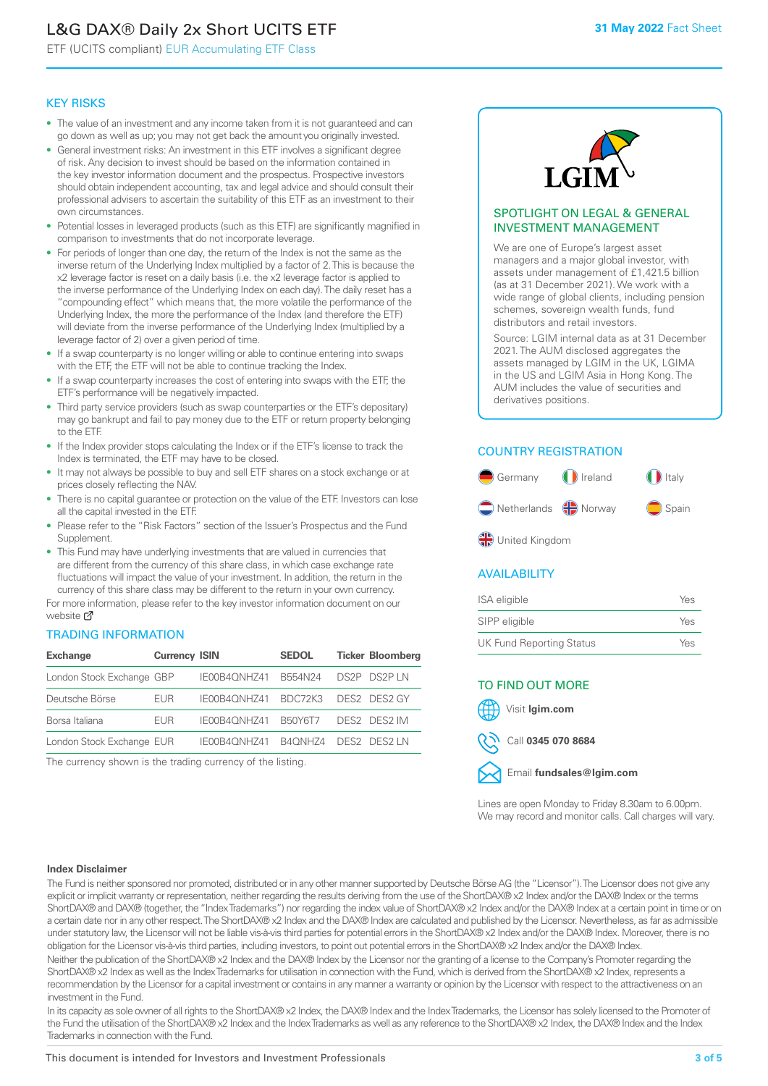# L&G DAX® Daily 2x Short UCITS ETF

ETF (UCITS compliant) EUR Accumulating ETF Class

#### KEY RISKS

- The value of an investment and any income taken from it is not guaranteed and can go down as well as up; you may not get back the amount you originally invested.
- General investment risks: An investment in this ETF involves a significant degree of risk. Any decision to invest should be based on the information contained in the key investor information document and the prospectus. Prospective investors should obtain independent accounting, tax and legal advice and should consult their professional advisers to ascertain the suitability of this ETF as an investment to their own circumstances.
- Potential losses in leveraged products (such as this ETF) are significantly magnified in comparison to investments that do not incorporate leverage.
- For periods of longer than one day, the return of the Index is not the same as the inverse return of the Underlying Index multiplied by a factor of 2. This is because the x2 leverage factor is reset on a daily basis (i.e. the x2 leverage factor is applied to the inverse performance of the Underlying Index on each day). The daily reset has a "compounding effect" which means that, the more volatile the performance of the Underlying Index, the more the performance of the Index (and therefore the ETF) will deviate from the inverse performance of the Underlying Index (multiplied by a leverage factor of 2) over a given period of time.
- If a swap counterparty is no longer willing or able to continue entering into swaps with the ETF, the ETF will not be able to continue tracking the Index.
- If a swap counterparty increases the cost of entering into swaps with the ETF, the ETF's performance will be negatively impacted.
- Third party service providers (such as swap counterparties or the ETF's depositary) may go bankrupt and fail to pay money due to the ETF or return property belonging to the ETF.
- If the Index provider stops calculating the Index or if the ETF's license to track the Index is terminated, the ETF may have to be closed.
- It may not always be possible to buy and sell ETF shares on a stock exchange or at prices closely reflecting the NAV.
- There is no capital guarantee or protection on the value of the ETF. Investors can lose all the capital invested in the ETF.
- Please refer to the "Risk Factors" section of the Issuer's Prospectus and the Fund Supplement.
- This Fund may have underlying investments that are valued in currencies that are different from the currency of this share class, in which case exchange rate fluctuations will impact the value of your investment. In addition, the return in the currency of this share class may be different to the return in your own currency.

For mo[re inf](https://www.lgimetf.com/)ormation, please refer to the key investor information document on our website Ø

#### TRADING INFORMATION

| <b>Exchange</b>           | <b>Currency ISIN</b> |                      | <b>SEDOL</b> | <b>Ticker Bloomberg</b> |
|---------------------------|----------------------|----------------------|--------------|-------------------------|
| London Stock Exchange GBP |                      | IE00B4QNHZ41         | B554N24      | DS2P DS2PIN             |
| Deutsche Börse            | <b>FUR</b>           | IE00B4ONHZ41 BDC72K3 |              | DES2 DES2 GY            |
| Borsa Italiana            | <b>FUR</b>           | IE00B4ONHZ41         | B50Y6T7      | DES2 DES2 IM            |
| London Stock Exchange EUR |                      | IE00B4ONHZ41         | B4ONHZ4      | DES2 DES2 IN            |

The currency shown is the trading currency of the listing.



#### SPOTLIGHT ON LEGAL & GENERAL INVESTMENT MANAGEMENT

We are one of Europe's largest asset managers and a major global investor, with assets under management of £1,421.5 billion (as at 31 December 2021). We work with a wide range of global clients, including pension schemes, sovereign wealth funds, fund distributors and retail investors.

Source: LGIM internal data as at 31 December 2021. The AUM disclosed aggregates the assets managed by LGIM in the UK, LGIMA in the US and LGIM Asia in Hong Kong. The AUM includes the value of securities and derivatives positions.

#### COUNTRY REGISTRATION



#### **AVAILABILITY**

| ISA eligible                    | Yes |
|---------------------------------|-----|
| SIPP eligible                   | Yes |
| <b>UK Fund Reporting Status</b> | Yes |

### TO FIND OUT MORE





Call **0345 070 8684**

Email **fundsales@lgim.com**

Lines are open Monday to Friday 8.30am to 6.00pm. We may record and monitor calls. Call charges will vary.

#### **Index Disclaimer**

The Fund is neither sponsored nor promoted, distributed or in any other manner supported by Deutsche Börse AG (the "Licensor"). The Licensor does not give any explicit or implicit warranty or representation, neither regarding the results deriving from the use of the ShortDAX® x2 Index and/or the DAX® Index or the terms ShortDAX® and DAX® (together, the "Index Trademarks") nor regarding the index value of ShortDAX® x2 Index and/or the DAX® Index at a certain point in time or on a certain date nor in any other respect. The ShortDAX® x2 Index and the DAX® Index are calculated and published by the Licensor. Nevertheless, as far as admissible under statutory law, the Licensor will not be liable vis-à-vis third parties for potential errors in the ShortDAX® x2 Index and/or the DAX® Index. Moreover, there is no obligation for the Licensor vis-à-vis third parties, including investors, to point out potential errors in the ShortDAX® x2 Index and/or the DAX® Index. Neither the publication of the ShortDAX® x2 Index and the DAX® Index by the Licensor nor the granting of a license to the Company's Promoter regarding the ShortDAX® x2 Index as well as the Index Trademarks for utilisation in connection with the Fund, which is derived from the ShortDAX® x2 Index, represents a recommendation by the Licensor for a capital investment or contains in any manner a warranty or opinion by the Licensor with respect to the attractiveness on an investment in the Fund.

In its capacity as sole owner of all rights to the ShortDAX® x2 Index, the DAX® Index and the Index Trademarks, the Licensor has solely licensed to the Promoter of the Fund the utilisation of the ShortDAX® x2 Index and the Index Trademarks as well as any reference to the ShortDAX® x2 Index, the DAX® Index and the Index Trademarks in connection with the Fund.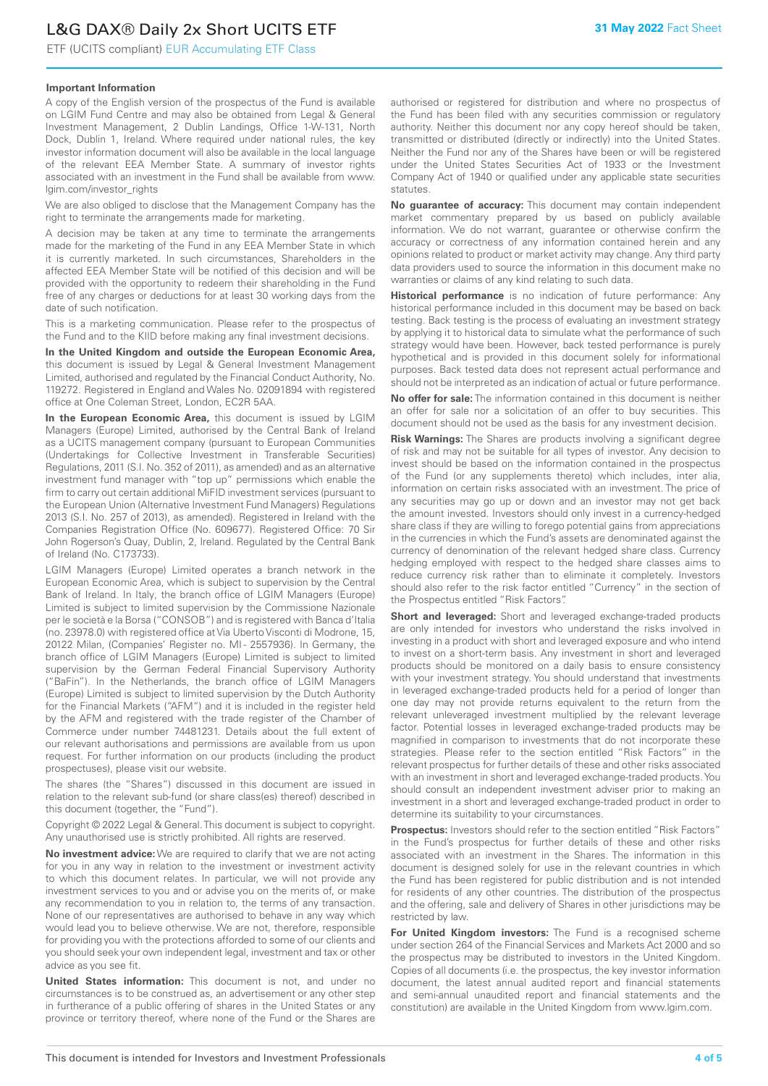ETF (UCITS compliant) EUR Accumulating ETF Class

#### **Important Information**

A copy of the English version of the prospectus of the Fund is available on LGIM Fund Centre and may also be obtained from Legal & General Investment Management, 2 Dublin Landings, Office 1-W-131, North Dock, Dublin 1, Ireland. Where required under national rules, the key investor information document will also be available in the local language of the relevant EEA Member State. A summary of investor rights associated with an investment in the Fund shall be available from www. lgim.com/investor\_rights

We are also obliged to disclose that the Management Company has the right to terminate the arrangements made for marketing.

A decision may be taken at any time to terminate the arrangements made for the marketing of the Fund in any EEA Member State in which it is currently marketed. In such circumstances, Shareholders in the affected EEA Member State will be notified of this decision and will be provided with the opportunity to redeem their shareholding in the Fund free of any charges or deductions for at least 30 working days from the date of such notification.

This is a marketing communication. Please refer to the prospectus of the Fund and to the KIID before making any final investment decisions.

**In the United Kingdom and outside the European Economic Area,** this document is issued by Legal & General Investment Management Limited, authorised and regulated by the Financial Conduct Authority, No. 119272. Registered in England and Wales No. 02091894 with registered office at One Coleman Street, London, EC2R 5AA.

**In the European Economic Area,** this document is issued by LGIM Managers (Europe) Limited, authorised by the Central Bank of Ireland as a UCITS management company (pursuant to European Communities (Undertakings for Collective Investment in Transferable Securities) Regulations, 2011 (S.I. No. 352 of 2011), as amended) and as an alternative investment fund manager with "top up" permissions which enable the firm to carry out certain additional MiFID investment services (pursuant to the European Union (Alternative Investment Fund Managers) Regulations 2013 (S.I. No. 257 of 2013), as amended). Registered in Ireland with the Companies Registration Office (No. 609677). Registered Office: 70 Sir John Rogerson's Quay, Dublin, 2, Ireland. Regulated by the Central Bank of Ireland (No. C173733).

LGIM Managers (Europe) Limited operates a branch network in the European Economic Area, which is subject to supervision by the Central Bank of Ireland. In Italy, the branch office of LGIM Managers (Europe) Limited is subject to limited supervision by the Commissione Nazionale per le società e la Borsa ("CONSOB") and is registered with Banca d'Italia (no. 23978.0) with registered office at Via Uberto Visconti di Modrone, 15, 20122 Milan, (Companies' Register no. MI - 2557936). In Germany, the branch office of LGIM Managers (Europe) Limited is subject to limited supervision by the German Federal Financial Supervisory Authority ("BaFin"). In the Netherlands, the branch office of LGIM Managers (Europe) Limited is subject to limited supervision by the Dutch Authority for the Financial Markets ("AFM") and it is included in the register held by the AFM and registered with the trade register of the Chamber of Commerce under number 74481231. Details about the full extent of our relevant authorisations and permissions are available from us upon request. For further information on our products (including the product prospectuses), please visit our website.

The shares (the "Shares") discussed in this document are issued in relation to the relevant sub-fund (or share class(es) thereof) described in this document (together, the "Fund").

Copyright © 2022 Legal & General. This document is subject to copyright. Any unauthorised use is strictly prohibited. All rights are reserved.

**No investment advice:** We are required to clarify that we are not acting for you in any way in relation to the investment or investment activity to which this document relates. In particular, we will not provide any investment services to you and or advise you on the merits of, or make any recommendation to you in relation to, the terms of any transaction. None of our representatives are authorised to behave in any way which would lead you to believe otherwise. We are not, therefore, responsible for providing you with the protections afforded to some of our clients and you should seek your own independent legal, investment and tax or other advice as you see fit.

**United States information:** This document is not, and under no circumstances is to be construed as, an advertisement or any other step in furtherance of a public offering of shares in the United States or any province or territory thereof, where none of the Fund or the Shares are

authorised or registered for distribution and where no prospectus of the Fund has been filed with any securities commission or regulatory authority. Neither this document nor any copy hereof should be taken, transmitted or distributed (directly or indirectly) into the United States. Neither the Fund nor any of the Shares have been or will be registered under the United States Securities Act of 1933 or the Investment Company Act of 1940 or qualified under any applicable state securities statutes.

**No guarantee of accuracy:** This document may contain independent market commentary prepared by us based on publicly available information. We do not warrant, guarantee or otherwise confirm the accuracy or correctness of any information contained herein and any opinions related to product or market activity may change. Any third party data providers used to source the information in this document make no warranties or claims of any kind relating to such data.

**Historical performance** is no indication of future performance: Any historical performance included in this document may be based on back testing. Back testing is the process of evaluating an investment strategy by applying it to historical data to simulate what the performance of such strategy would have been. However, back tested performance is purely hypothetical and is provided in this document solely for informational purposes. Back tested data does not represent actual performance and should not be interpreted as an indication of actual or future performance.

**No offer for sale:** The information contained in this document is neither an offer for sale nor a solicitation of an offer to buy securities. This document should not be used as the basis for any investment decision.

**Risk Warnings:** The Shares are products involving a significant degree of risk and may not be suitable for all types of investor. Any decision to invest should be based on the information contained in the prospectus of the Fund (or any supplements thereto) which includes, inter alia, information on certain risks associated with an investment. The price of any securities may go up or down and an investor may not get back the amount invested. Investors should only invest in a currency-hedged share class if they are willing to forego potential gains from appreciations in the currencies in which the Fund's assets are denominated against the currency of denomination of the relevant hedged share class. Currency hedging employed with respect to the hedged share classes aims to reduce currency risk rather than to eliminate it completely. Investors should also refer to the risk factor entitled "Currency" in the section of the Prospectus entitled "Risk Factors".

**Short and leveraged:** Short and leveraged exchange-traded products are only intended for investors who understand the risks involved in investing in a product with short and leveraged exposure and who intend to invest on a short-term basis. Any investment in short and leveraged products should be monitored on a daily basis to ensure consistency with your investment strategy. You should understand that investments in leveraged exchange-traded products held for a period of longer than one day may not provide returns equivalent to the return from the relevant unleveraged investment multiplied by the relevant leverage factor. Potential losses in leveraged exchange-traded products may be magnified in comparison to investments that do not incorporate these strategies. Please refer to the section entitled "Risk Factors" in the relevant prospectus for further details of these and other risks associated with an investment in short and leveraged exchange-traded products. You should consult an independent investment adviser prior to making an investment in a short and leveraged exchange-traded product in order to determine its suitability to your circumstances.

**Prospectus:** Investors should refer to the section entitled "Risk Factors" in the Fund's prospectus for further details of these and other risks associated with an investment in the Shares. The information in this document is designed solely for use in the relevant countries in which the Fund has been registered for public distribution and is not intended for residents of any other countries. The distribution of the prospectus and the offering, sale and delivery of Shares in other jurisdictions may be restricted by law.

**For United Kingdom investors:** The Fund is a recognised scheme under section 264 of the Financial Services and Markets Act 2000 and so the prospectus may be distributed to investors in the United Kingdom. Copies of all documents (i.e. the prospectus, the key investor information document, the latest annual audited report and financial statements and semi-annual unaudited report and financial statements and the constitution) are available in the United Kingdom from www.lgim.com.